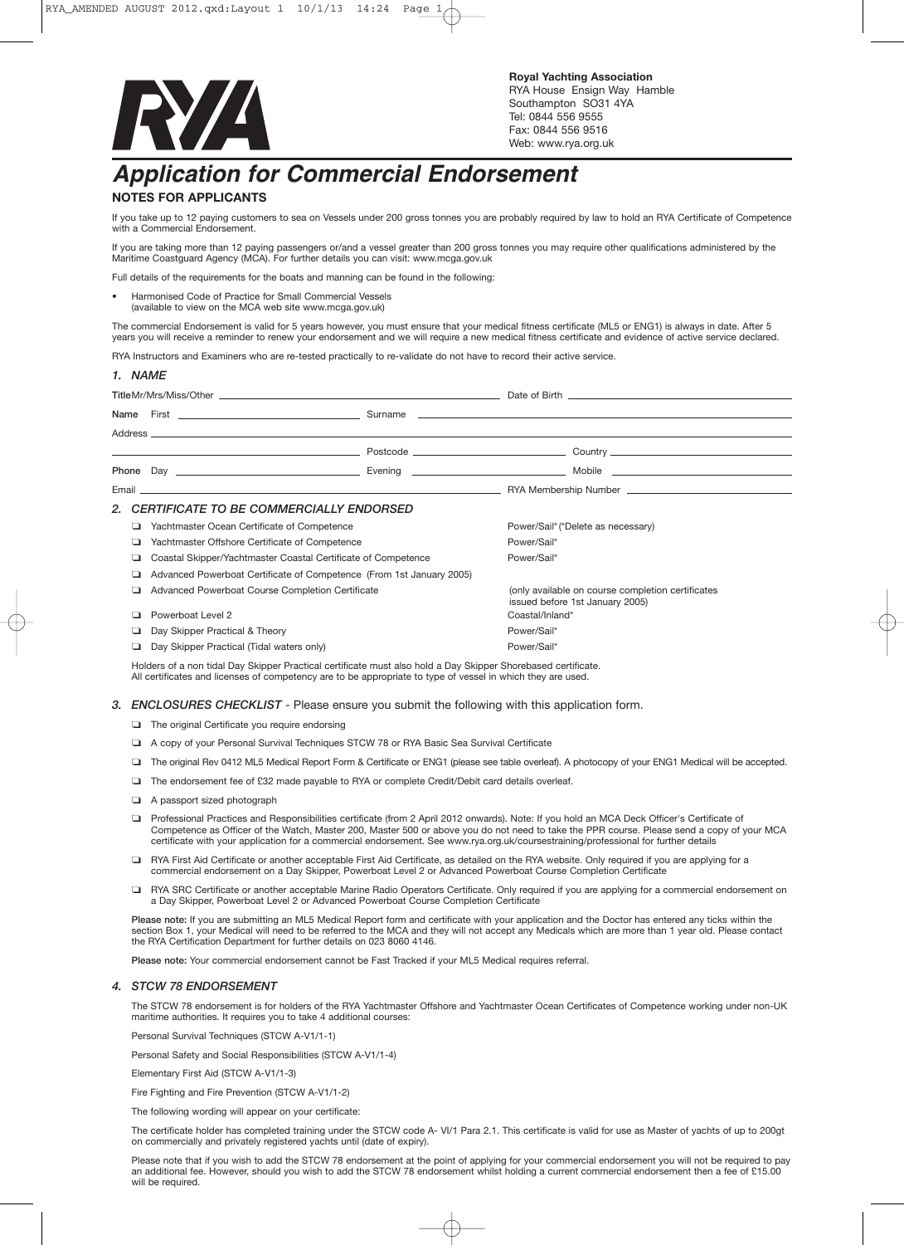

## *Application for Commercial Endorsement*

## **NOTES FOR APPLICANTS**

*1. NAME*

If you take up to 12 paying customers to sea on Vessels under 200 gross tonnes you are probably required by law to hold an RYA Certificate of Competence with a Commercial Endorsement.

If you are taking more than 12 paying passengers or/and a vessel greater than 200 gross tonnes you may require other qualifications administered by the Maritime Coastguard Agency (MCA). For further details you can visit: www.mcga.gov.uk

Full details of the requirements for the boats and manning can be found in the following:

• Harmonised Code of Practice for Small Commercial Vessels (available to view on the MCA web site www.mcga.gov.uk)

The commercial Endorsement is valid for 5 years however, you must ensure that your medical fitness certificate (ML5 or ENG1) is always in date. After 5 years you will receive a reminder to renew your endorsement and we will require a new medical fitness certificate and evidence of active service declared.

RYA Instructors and Examiners who are re-tested practically to re-validate do not have to record their active service.

|     |                                                                      |  | Email <u>Communication and the communication</u> and the communication of the communication of the communication of the communication of the communication of the communication of the communication of the communication of the co |
|-----|----------------------------------------------------------------------|--|-------------------------------------------------------------------------------------------------------------------------------------------------------------------------------------------------------------------------------------|
|     | 2. CERTIFICATE TO BE COMMERCIALLY ENDORSED                           |  |                                                                                                                                                                                                                                     |
| ▫   | Yachtmaster Ocean Certificate of Competence                          |  | Power/Sail* (*Delete as necessary)                                                                                                                                                                                                  |
| ⊔   | Yachtmaster Offshore Certificate of Competence                       |  | Power/Sail*                                                                                                                                                                                                                         |
| ⊔   | Coastal Skipper/Yachtmaster Coastal Certificate of Competence        |  | Power/Sail*                                                                                                                                                                                                                         |
| ▫   | Advanced Powerboat Certificate of Competence (From 1st January 2005) |  |                                                                                                                                                                                                                                     |
|     | Advanced Powerboat Course Completion Certificate                     |  | (only available on course completion certificates<br>issued before 1st January 2005)                                                                                                                                                |
| . . | Powerboat Level 2                                                    |  | Coastal/Inland*                                                                                                                                                                                                                     |
|     | Day Skipper Practical & Theory                                       |  | Power/Sail*                                                                                                                                                                                                                         |
| ⊐   | Day Skipper Practical (Tidal waters only)                            |  | Power/Sail*                                                                                                                                                                                                                         |

Holders of a non tidal Day Skipper Practical certificate must also hold a Day Skipper Shorebased certificate. All certificates and licenses of competency are to be appropriate to type of vessel in which they are used.

## *3. ENCLOSURES CHECKLIST* - Please ensure you submit the following with this application form.

- ❏ The original Certificate you require endorsing
- ❏ <sup>A</sup> copy of your Personal Survival Techniques STCW <sup>78</sup> or RYA Basic Sea Survival Certificate
- ❏ The original Rev <sup>0412</sup> ML5 Medical Report Form & Certificate or ENG1 (please see table overleaf). <sup>A</sup> photocopy of your ENG1 Medical will be accepted.
- ❏ The endorsement fee of £32 made payable to RYA or complete Credit/Debit card details overleaf.
- ❏ <sup>A</sup> passport sized photograph
- ❏ Professional Practices and Responsibilities certificate (from <sup>2</sup> April <sup>2012</sup> onwards). Note: If you hold an MCA Deck Officer's Certificate of Competence as Officer of the Watch, Master 200, Master 500 or above you do not need to take the PPR course. Please send a copy of your MCA certificate with your application for a commercial endorsement. See www.rya.org.uk/coursestraining/professional for further details
- ❏ RYA First Aid Certificate or another acceptable First Aid Certificate, as detailed on the RYA website. Only required if you are applying for <sup>a</sup> commercial endorsement on a Day Skipper, Powerboat Level 2 or Advanced Powerboat Course Completion Certificate
- ❏ RYA SRC Certificate or another acceptable Marine Radio Operators Certificate. Only required if you are applying for <sup>a</sup> commercial endorsement on a Day Skipper, Powerboat Level 2 or Advanced Powerboat Course Completion Certificate

Please note: If you are submitting an ML5 Medical Report form and certificate with your application and the Doctor has entered any ticks within the section Box 1, your Medical will need to be referred to the MCA and they will not accept any Medicals which are more than 1 year old. Please contact the RYA Certification Department for further details on 023 8060 4146.

Please note: Your commercial endorsement cannot be Fast Tracked if your ML5 Medical requires referral.

## *4. STCW 78 ENDORSEMENT*

The STCW 78 endorsement is for holders of the RYA Yachtmaster Offshore and Yachtmaster Ocean Certificates of Competence working under non-UK maritime authorities. It requires you to take 4 additional courses:

Personal Survival Techniques (STCW A-V1/1-1)

Personal Safety and Social Responsibilities (STCW A-V1/1-4)

Elementary First Aid (STCW A-V1/1-3)

Fire Fighting and Fire Prevention (STCW A-V1/1-2)

The following wording will appear on your certificate:

The certificate holder has completed training under the STCW code A- VI/1 Para 2.1. This certificate is valid for use as Master of yachts of up to 200gt on commercially and privately registered yachts until (date of expiry).

Please note that if you wish to add the STCW 78 endorsement at the point of applying for your commercial endorsement you will not be required to pay an additional fee. However, should you wish to add the STCW 78 endorsement whilst holding a current commercial endorsement then a fee of £15.00 will be required.